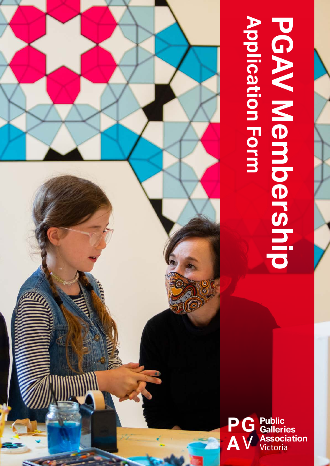# **Application Form PGAV Membership PGAV Membership**<br>PGAV Membership<br>Application Form

**P G A** V **Public Galleries Association** 

 $\bullet$ 

1

 $\mathbb{R}^n$  Membership Application Form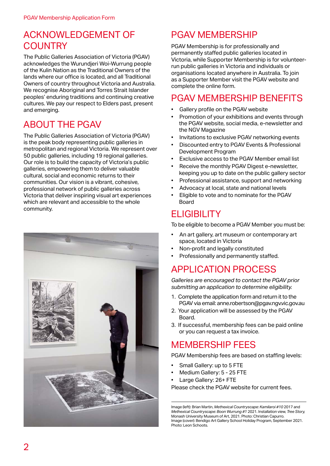#### ACKNOWLEDGEMENT OF **COUNTRY**

The Public Galleries Association of Victoria (PGAV) acknowledges the Wurundjeri Woi-Wurrung people of the Kulin Nation as the Traditional Owners of the lands where our office is located, and all Traditional Owners of country throughout Victoria and Australia. We recognise Aboriginal and Torres Strait Islander peoples' enduring traditions and continuing creative cultures. We pay our respect to Elders past, present and emerging.

# ABOUT THE PGAV

The Public Galleries Association of Victoria (PGAV) is the peak body representing public galleries in metropolitan and regional Victoria. We represent over 50 public galleries, including 19 regional galleries. Our role is to build the capacity of Victoria's public galleries, empowering them to deliver valuable cultural, social and economic returns to their communities. Our vision is a vibrant, cohesive, professional network of public galleries across Victoria that deliver inspiring visual art experiences which are relevant and accessible to the whole community.



# PGAV MEMBERSHIP

PGAV Membership is for professionally and permanently staffed public galleries located in Victoria, while Supporter Membership is for volunteerrun public galleries in Victoria and individuals or organisations located anywhere in Australia. To join as a Supporter Member visit the PGAV website and complete the online form.

#### PGAV MEMBERSHIP BENEFITS

- Gallery profile on the PGAV website
- Promotion of your exhibitions and events through the PGAV website, social media, e-newsletter and the NGV Magazine
- Invitations to exclusive PGAV networking events
- Discounted entry to PGAV Events & Professional Development Program
- Exclusive access to the PGAV Member email list
- Receive the monthly PGAV Digest e-newsletter, keeping you up to date on the public gallery sector
- Professional assistance, support and networking
- Advocacy at local, state and national levels
- Eligible to vote and to nominate for the PGAV Board

#### **ELIGIBILITY**

To be eligible to become a PGAV Member you must be:

- An art gallery, art museum or contemporary art space, located in Victoria
- Non-profit and legally constituted
- Professionally and permanently staffed.

# APPLICATION PROCESS

*Galleries are encouraged to contact the PGAV prior submitting an application to determine eligibility.*

- 1. Complete the application form and return it to the PGAV via email: anne.robertson@pgav.ngv.vic.gov.au
- 2. Your application will be assessed by the PGAV Board.
- 3. If successful, membership fees can be paid online or you can request a tax invoice.

## MEMBERSHIP FEES

PGAV Membership fees are based on staffing levels:

- Small Gallery: up to 5 FTE
- Medium Gallery: 5 25 FTE
- Large Gallery: 26+ FTE

Please check the PGAV website for current fees.

Image (left): Brian Martin, *Methexical Countryscape: Kamilaroi #10* 2017 and *Methexical Countryscape: Boon Wurrung #1* 2021. Installation view, *Tree Story,*  Monash University Museum of Art, 2021. Photo: Christian Capurro. Image (cover): Bendigo Art Gallery School Holiday Program, September 2021. Photo: Leon Schoots.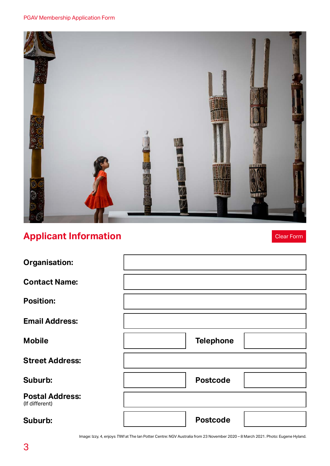

# **Applicant Information**

Clear Form

| <b>Organisation:</b>                     |                  |  |
|------------------------------------------|------------------|--|
| <b>Contact Name:</b>                     |                  |  |
| <b>Position:</b>                         |                  |  |
| <b>Email Address:</b>                    |                  |  |
| <b>Mobile</b>                            | <b>Telephone</b> |  |
| <b>Street Address:</b>                   |                  |  |
| Suburb:                                  | <b>Postcode</b>  |  |
| <b>Postal Address:</b><br>(If different) |                  |  |
| Suburb:                                  | <b>Postcode</b>  |  |

Image: Izzy, 4, enjoys *TIWI* at The Ian Potter Centre: NGV Australia from 23 November 2020 – 8 March 2021. Photo: Eugene Hyland.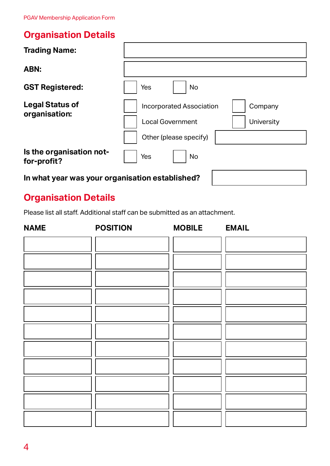# **Organisation Details**

| <b>Trading Name:</b>                            |                                                                                                                      |  |
|-------------------------------------------------|----------------------------------------------------------------------------------------------------------------------|--|
| ABN:                                            |                                                                                                                      |  |
| <b>GST Registered:</b>                          | Yes<br><b>No</b>                                                                                                     |  |
| <b>Legal Status of</b><br>organisation:         | <b>Incorporated Association</b><br>Company<br><b>Local Government</b><br><b>University</b><br>Other (please specify) |  |
| Is the organisation not-<br>for-profit?         | Yes<br><b>No</b>                                                                                                     |  |
| In what year was your organisation established? |                                                                                                                      |  |

# **Organisation Details**

Please list all staff. Additional staff can be submitted as an attachment.

| <b>NAME</b> | <b>POSITION</b> | <b>MOBILE</b> | <b>EMAIL</b> |
|-------------|-----------------|---------------|--------------|
|             |                 |               |              |
|             |                 |               |              |
|             |                 |               |              |
|             |                 |               |              |
|             |                 |               |              |
|             |                 |               |              |
|             |                 |               |              |
|             |                 |               |              |
|             |                 |               |              |
|             |                 |               |              |
|             |                 |               |              |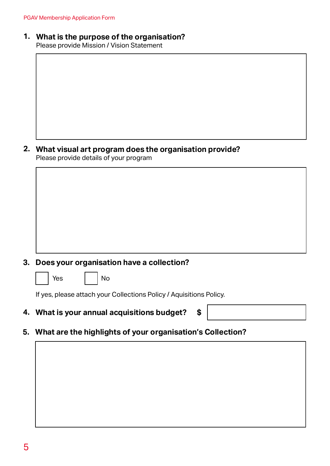#### **What is the purpose of the organisation? 1.**

Please provide Mission / Vision Statement

**What visual art program does the organisation provide? 2.** Please provide details of your program

#### **3. Does your organisation have a collection?**

es I | No

If yes, please attach your Collections Policy / Aquisitions Policy.

**4. What is your annual acquisitions budget? \$**



**5. What are the highlights of your organisation's Collection?**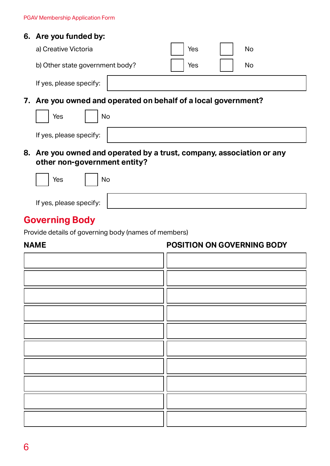#### **6. Are you funded by:**

|    | a) Creative Victoria                                               | Yes | <b>No</b> |
|----|--------------------------------------------------------------------|-----|-----------|
|    | b) Other state government body?                                    | Yes | <b>No</b> |
|    | If yes, please specify:                                            |     |           |
|    | 7. Are you owned and operated on behalf of a local government?     |     |           |
|    | Yes<br>No                                                          |     |           |
|    | If yes, please specify:                                            |     |           |
| 8. | Are you owned and operated by a trust, company, association or any |     |           |

## **other non-government entity?**

| Yes<br>No               |  |
|-------------------------|--|
| If yes, please specify: |  |

# **Governing Body**

Provide details of governing body (names of members)

#### **NAME POSITION ON GOVERNING BODY**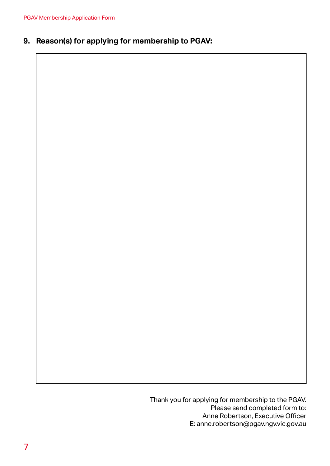#### **9. Reason(s) for applying for membership to PGAV:**

Thank you for applying for membership to the PGAV. Please send completed form to: Anne Robertson, Executive Officer E: anne.robertson@pgav.ngv.vic.gov.au